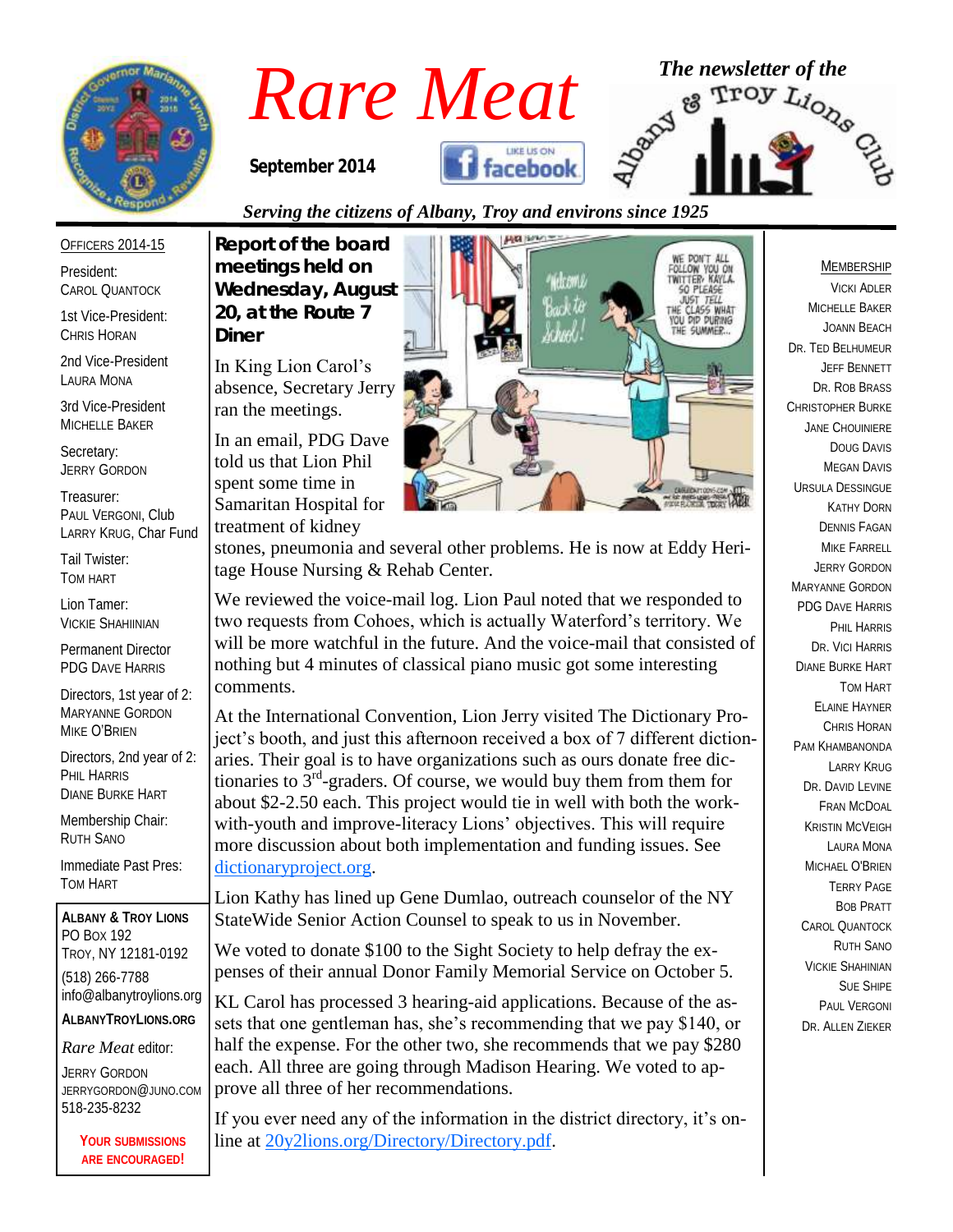

*September 2014* 





#### OFFICERS 2014-15

President: CAROL QUANTOCK

1st Vice-President: CHRIS HORAN

2nd Vice-President LAURA MONA

3rd Vice-President MICHELLE BAKER

Secretary: JERRY GORDON

Treasurer: PAUL VERGONI, Club LARRY KRUG, Char Fund

Tail Twister: TOM HART

Lion Tamer: VICKIE SHAHIINIAN

Permanent Director PDG DAVE HARRIS

Directors, 1st year of 2: MARYANNE GORDON MIKE O'BRIEN

Directors, 2nd year of 2: PHIL HARRIS DIANE BURKE HART

Membership Chair: RUTH SANO

Immediate Past Pres: TOM HART

**ALBANY & TROY LIONS** PO BOX 192 TROY, NY 12181-0192 (518) 266-7788 info@albanytroylions.org **ALBANYTROYLIONS.ORG**

*Rare Meat* editor:

JERRY GORDON JERRYGORDON@JUNO.COM 518-235-8232

> **YOUR SUBMISSIONS ARE ENCOURAGED!**

## *Serving the citizens of Albany, Troy and environs since 1925*

*Report of the board meetings held on Wednesday, August 20, at the Route 7 Diner* 

In King Lion Carol's absence, Secretary Jerry ran the meetings.

In an email, PDG Dave told us that Lion Phil spent some time in Samaritan Hospital for treatment of kidney



stones, pneumonia and several other problems. He is now at Eddy Heritage House Nursing & Rehab Center.

We reviewed the voice-mail log. Lion Paul noted that we responded to two requests from Cohoes, which is actually Waterford's territory. We will be more watchful in the future. And the voice-mail that consisted of nothing but 4 minutes of classical piano music got some interesting comments.

At the International Convention, Lion Jerry visited The Dictionary Project's booth, and just this afternoon received a box of 7 different dictionaries. Their goal is to have organizations such as ours donate free dictionaries to  $3<sup>rd</sup>$ -graders. Of course, we would buy them from them for about \$2-2.50 each. This project would tie in well with both the workwith-youth and improve-literacy Lions' objectives. This will require more discussion about both implementation and funding issues. See [dictionaryproject.org.](http://dictionaryproject.org/) 

Lion Kathy has lined up Gene Dumlao, outreach counselor of the NY StateWide Senior Action Counsel to speak to us in November.

We voted to donate \$100 to the Sight Society to help defray the expenses of their annual Donor Family Memorial Service on October 5.

KL Carol has processed 3 hearing-aid applications. Because of the assets that one gentleman has, she's recommending that we pay \$140, or half the expense. For the other two, she recommends that we pay \$280 each. All three are going through Madison Hearing. We voted to approve all three of her recommendations.

If you ever need any of the information in the district directory, it's online at [20y2lions.org/Directory/Directory.pdf.](http://20y2lions.org/Directory/Directory.pdf)

#### MEMBERSHIP

VICKI ADLER MICHELLE BAKER JOANN BEACH DR. TED BELHUMEUR JEFF BENNETT DR. ROB BRASS CHRISTOPHER BURKE JANE CHOUINIERE DOUG DAVIS MEGAN DAVIS URSULA DESSINGUE KATHY DORN DENNIS FAGAN MIKE FARRELL JERRY GORDON MARYANNE GORDON PDG DAVE HARRIS PHIL HARRIS DR. VICI HARRIS DIANE BURKE HART TOM HART ELAINE HAYNER CHRIS HORAN PAM KHAMBANONDA LARRY KRUG DR. DAVID I FVINE FRAN MCDOAL KRISTIN MCVEIGH LAURA MONA MICHAEL O'BRIEN TERRY PAGE BOB PRATT CAROL QUANTOCK RUTH SANO VICKIE SHAHINIAN SUE SHIPE PAUL VERGONI DR. ALLEN ZIEKER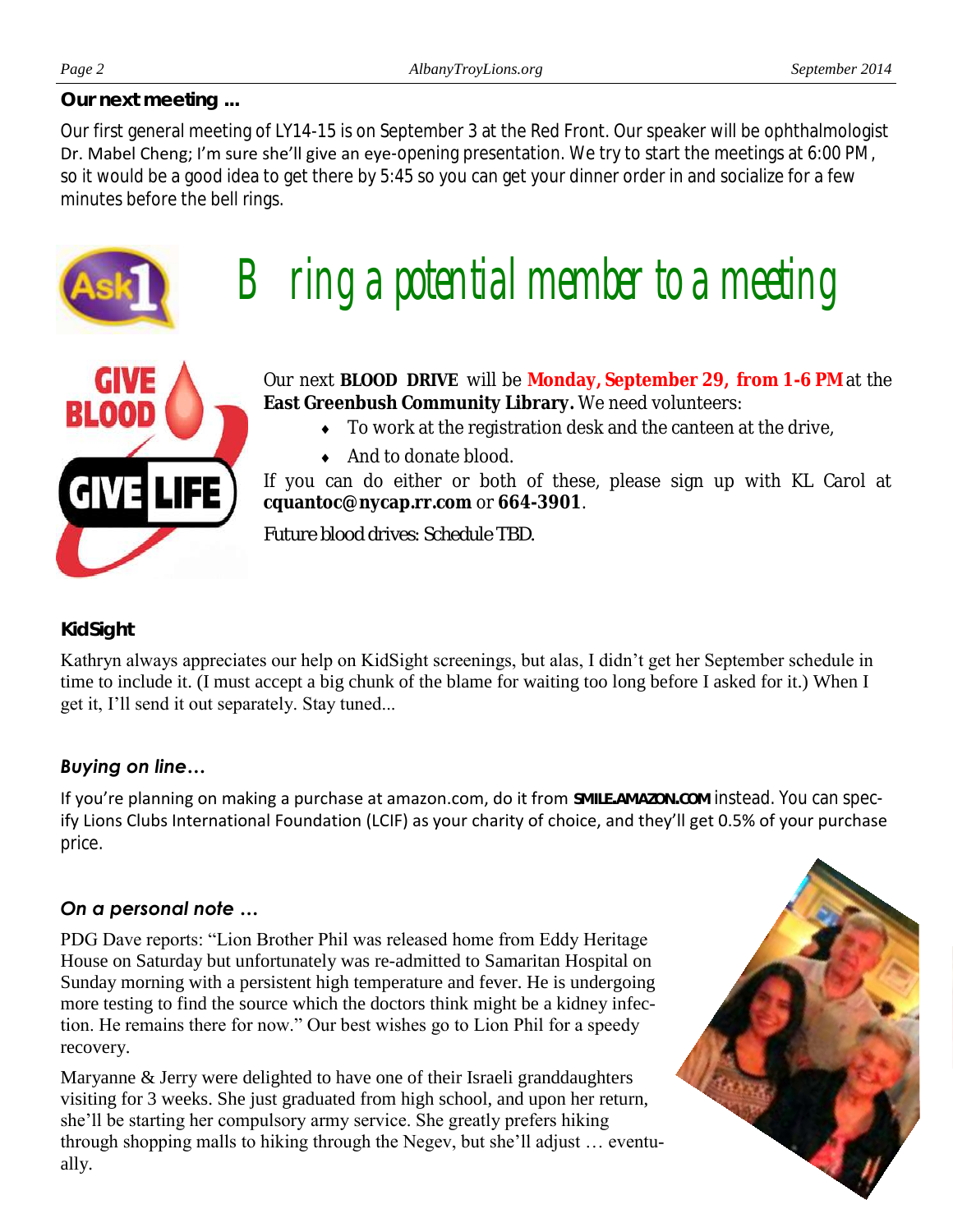*Our next meeting ...*

Our first general meeting of LY14-15 is on September 3 at the Red Front. Our speaker will be ophthalmologist Dr. Mabel Cheng; I'm sure she'll give an eye-opening presentation. We try to start the meetings at 6:00 PM, so it would be a good idea to get there by 5:45 so you can get your dinner order in and socialize for a few minutes before the bell rings.



# $\mathsf B$  ring a potential member to a meeting



Our next **BLOOD DRIVE** will be **Monday, September 29, from 1-6 PM** at the **East Greenbush Community Library.** We need volunteers:

- To work at the registration desk and the canteen at the drive,
- ◆ And to donate blood.

If you can do either or both of these, please sign up with KL Carol at **cquantoc@nycap.rr.com** or **664-3901**.

*Future blood drives: Schedule TBD.*

### *KidSight*

Kathryn always appreciates our help on KidSight screenings, but alas, I didn't get her September schedule in time to include it. (I must accept a big chunk of the blame for waiting too long before I asked for it.) When I get it, I'll send it out separately. Stay tuned...

### *Buying on line…*

If you're planning on making a purchase at amazon.com, do it from **SMILE.AMAZON.COM** instead. You can specify Lions Clubs International Foundation (LCIF) as your charity of choice, and they'll get 0.5% of your purchase price.

### *On a personal note …*

PDG Dave reports: "Lion Brother Phil was released home from Eddy Heritage House on Saturday but unfortunately was re-admitted to Samaritan Hospital on Sunday morning with a persistent high temperature and fever. He is undergoing more testing to find the source which the doctors think might be a kidney infection. He remains there for now." Our best wishes go to Lion Phil for a speedy recovery.

Maryanne & Jerry were delighted to have one of their Israeli granddaughters visiting for 3 weeks. She just graduated from high school, and upon her return, she'll be starting her compulsory army service. She greatly prefers hiking through shopping malls to hiking through the Negev, but she'll adjust … eventually.

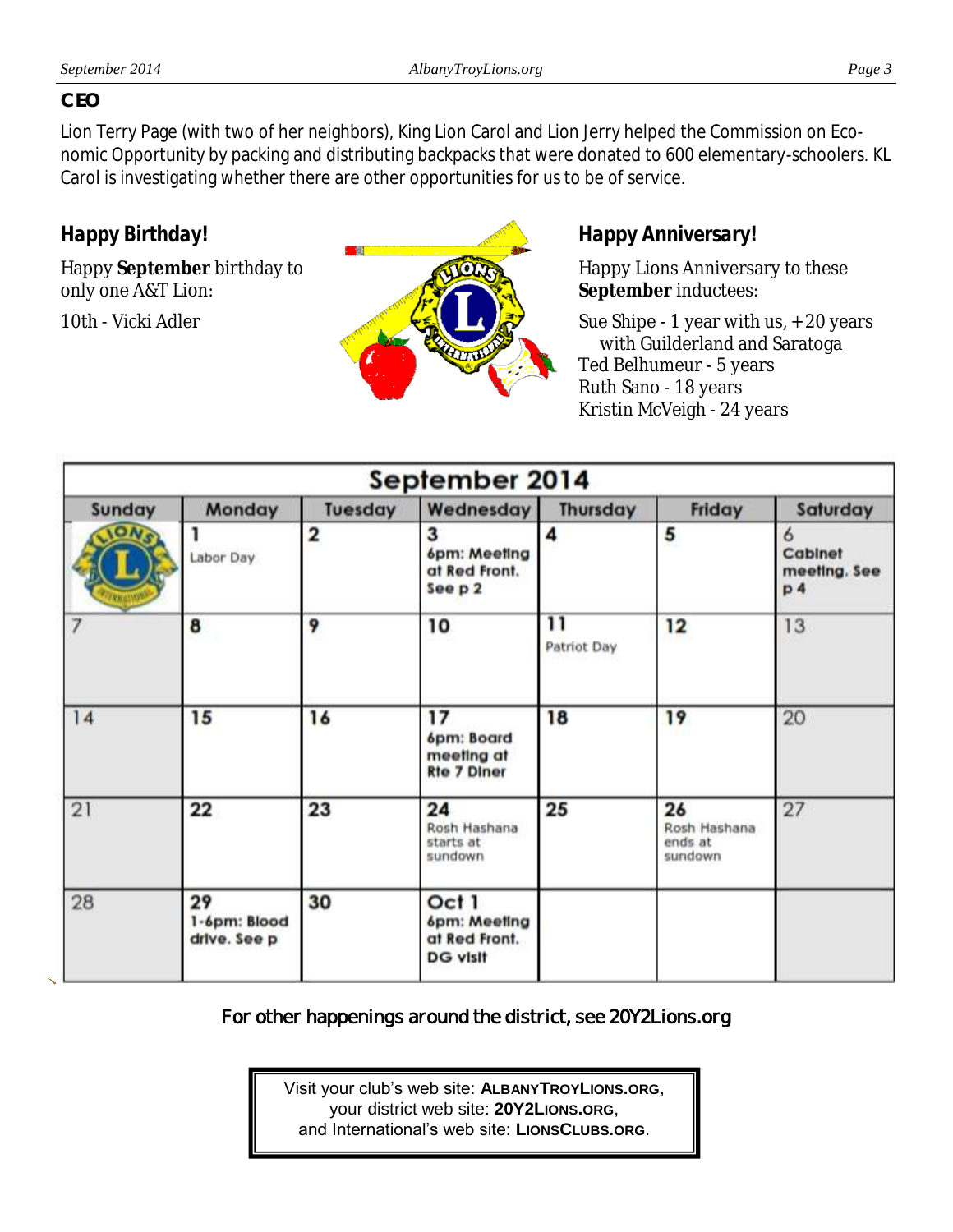#### *CEO*

Lion Terry Page (with two of her neighbors), King Lion Carol and Lion Jerry helped the Commission on Economic Opportunity by packing and distributing backpacks that were donated to 600 elementary-schoolers. KL Carol is investigating whether there are other opportunities for us to be of service.

*Happy Birthday!*

Happy **September** birthday to only one A&T Lion:

10th - Vicki Adler



## *Happy Anniversary!*

Happy Lions Anniversary to these **September** inductees:

Sue Shipe - 1 year with us, + 20 years with Guilderland and Saratoga Ted Belhumeur - 5 years Ruth Sano - 18 years Kristin McVeigh - 24 years

| September 2014 |                                    |                         |                                                           |                                |                                          |                                                |
|----------------|------------------------------------|-------------------------|-----------------------------------------------------------|--------------------------------|------------------------------------------|------------------------------------------------|
| Sunday         | Monday                             | Tuesday                 | Wednesday                                                 | Thursday                       | Friday                                   | Saturday                                       |
| <b>IONS</b>    | Labor Day                          | $\overline{\mathbf{2}}$ | 3<br>6pm: Meeting<br>at Red Front.<br>See p 2             | 4                              | 5                                        | 6<br>Cabinet<br>meeting. See<br>p <sub>4</sub> |
| 7              | 8                                  | 9                       | 10                                                        | $\overline{11}$<br>Patriot Day | 12                                       | 13                                             |
| 14             | 15                                 | 16                      | 17<br>6pm: Board<br>meeting at<br><b>Rte 7 Diner</b>      | 18                             | 19                                       | 20                                             |
| 21             | 22                                 | 23                      | 24<br>Rosh Hashana<br>starts at<br>sundown                | 25                             | 26<br>Rosh Hashana<br>ends at<br>sundown | 27                                             |
| 28             | 29<br>1-6pm: Blood<br>drive. See p | 30                      | Oct 1<br>6pm: Meeting<br>at Red Front.<br><b>DG visit</b> |                                |                                          |                                                |

**For other happenings around the district, see 20Y2Lions.org** 

Visit your club's web site: **ALBANYTROYLIONS.ORG**, your district web site: **20Y2LIONS.ORG**, and International's web site: **LIONSCLUBS.ORG**.